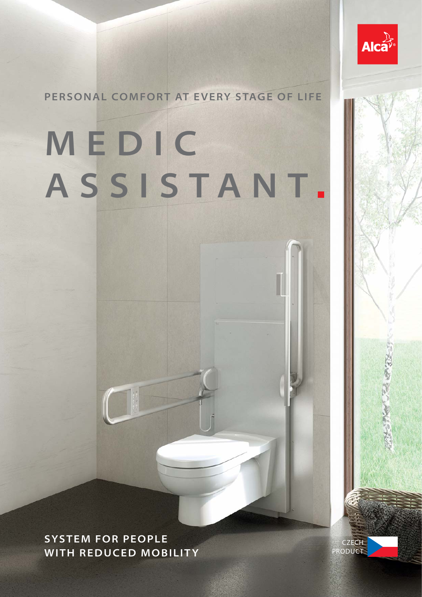

**PERSONAL COMFORT AT EVERY STAGE OF LIFE**

# **M E D I C ASSISTANT**

**SYSTEM FOR PEOPLE WITH REDUCED MOBILITY**

CZECH PRODUCT 大きいるあた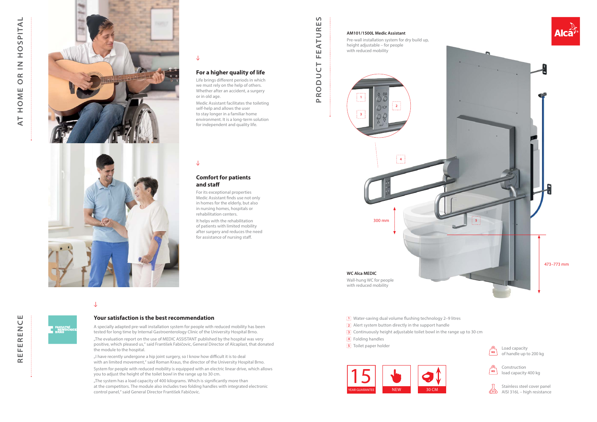

## $\downarrow$

## **PRODUCT FEATURES** ய FEATUR RODUCT  $\Delta$

 $\Omega$ 

- **2** Alert system button directly in the support handle
- **3** Continuously height adjustable toilet bowl in the range up to 30 cm
- **4** Folding handles

Life brings different periods in which we must rely on the help of others. Whether after an accident, a surgery or in old age.

**5** Toilet paper holder

## **For a higher quality of life**

It helps with the rehabilitation of patients with limited mobility after surgery and reduces the need for assistance of nursing staff.

Medic Assistant facilitates the toileting self-help and allows the user to stay longer in a familiar home environment. It is a long-term solution for independent and quality life.

## $\downarrow$

## **Comfort for patients and staff**

For its exceptional properties Medic Assistant finds use not only in homes for the elderly, but also in nursing homes, hospitals or rehabilitation centers.

> Load capacity of handle up to 200 kg



"I have recently undergone a hip joint surgery, so I know how difficult it is to deal with an limited movement," said Roman Kraus, the director of the University Hospital Brno. System for people with reduced mobility is equipped with an electric linear drive, which allows you to adjust the height of the toilet bowl in the range up to 30 cm.

Construction load capacity 400 kg



Stainless steel cover panel AISI 316L – high resistance

### **AM101/1500L Medic Assistant**





Pre-wall installation system for dry build up, height adjustable – for people with reduced mobility

### **Your satisfaction is the best recommendation**







A specially adapted pre-wall installation system for people with reduced mobility has been tested for long time by Internal Gastroenterology Clinic of the University Hospital Brno. "The evaluation report on the use of MEDIC ASSISTANT published by the hospital was very positive, which pleased us," said František Fabičovic, General Director of Alcaplast, that donated the module to the hospital.

"The system has a load capacity of 400 kilograms. Which is signifi cantly more than at the competitors. The module also includes two folding handles with integrated electronic control panel," said General Director František Fabičovic.

**1** Water-saving dual volume flushing technology 2–9 litres